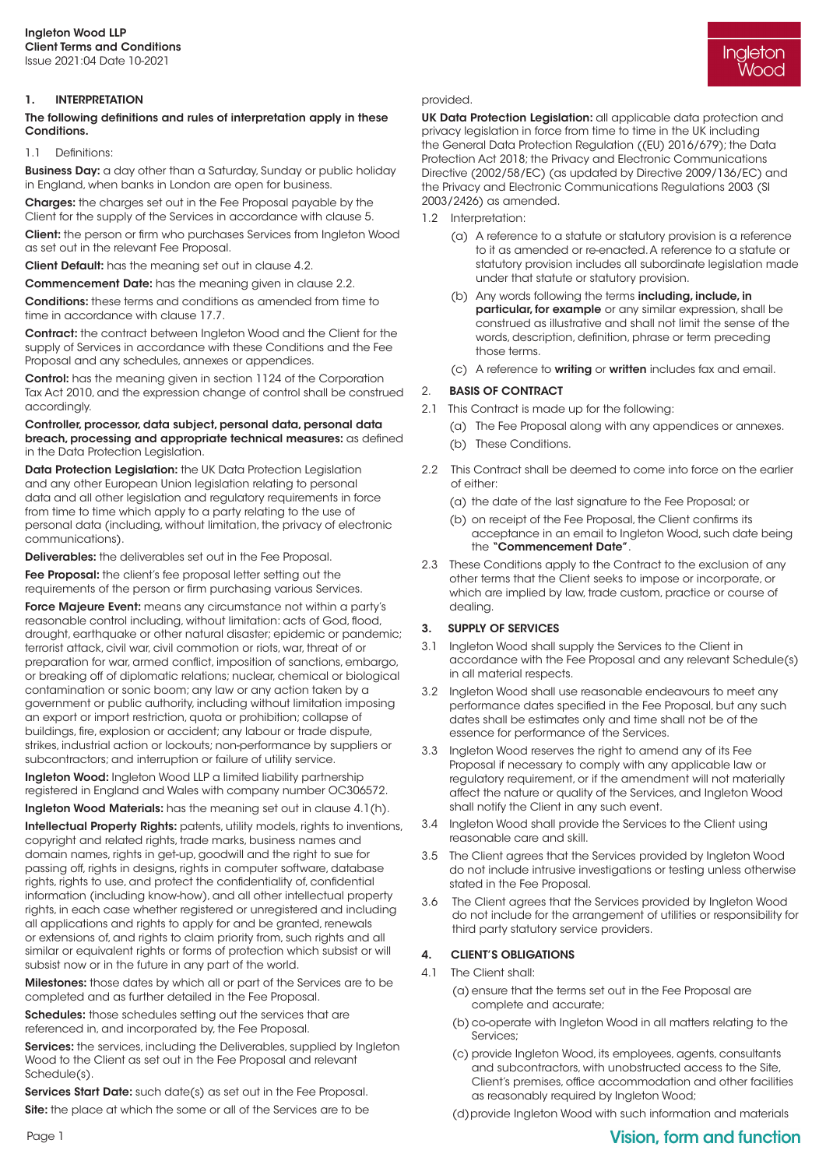## 1. INTERPRETATION

### The following definitions and rules of interpretation apply in these Conditions.

#### 1.1 Definitions:

**Business Day:** a day other than a Saturday, Sunday or public holiday in England, when banks in London are open for business.

Charges: the charges set out in the Fee Proposal payable by the Client for the supply of the Services in accordance with clause 5.

Client: the person or firm who purchases Services from Ingleton Wood as set out in the relevant Fee Proposal.

Client Default: has the meaning set out in clause 4.2.

Commencement Date: has the meaning given in clause 2.2.

Conditions: these terms and conditions as amended from time to time in accordance with clause 17.7.

Contract: the contract between Ingleton Wood and the Client for the supply of Services in accordance with these Conditions and the Fee Proposal and any schedules, annexes or appendices.

Control: has the meaning given in section 1124 of the Corporation Tax Act 2010, and the expression change of control shall be construed accordingly.

#### Controller, processor, data subject, personal data, personal data breach, processing and appropriate technical measures: as defined in the Data Protection Legislation.

Data Protection Legislation: the UK Data Protection Legislation and any other European Union legislation relating to personal data and all other legislation and regulatory requirements in force from time to time which apply to a party relating to the use of personal data (including, without limitation, the privacy of electronic communications).

Deliverables: the deliverables set out in the Fee Proposal.

Fee Proposal: the client's fee proposal letter setting out the requirements of the person or firm purchasing various Services.

Force Majeure Event: means any circumstance not within a party's reasonable control including, without limitation: acts of God, flood, drought, earthquake or other natural disaster; epidemic or pandemic; terrorist attack, civil war, civil commotion or riots, war, threat of or preparation for war, armed conflict, imposition of sanctions, embargo, or breaking off of diplomatic relations; nuclear, chemical or biological contamination or sonic boom; any law or any action taken by a government or public authority, including without limitation imposing an export or import restriction, quota or prohibition; collapse of buildings, fire, explosion or accident; any labour or trade dispute, strikes, industrial action or lockouts; non-performance by suppliers or subcontractors; and interruption or failure of utility service.

Ingleton Wood: Ingleton Wood LLP a limited liability partnership registered in England and Wales with company number OC306572.

Ingleton Wood Materials: has the meaning set out in clause 4.1(h).

Intellectual Property Rights: patents, utility models, rights to inventions, copyright and related rights, trade marks, business names and domain names, rights in get-up, goodwill and the right to sue for passing off, rights in designs, rights in computer software, database rights, rights to use, and protect the confidentiality of, confidential information (including know-how), and all other intellectual property rights, in each case whether registered or unregistered and including all applications and rights to apply for and be granted, renewals or extensions of, and rights to claim priority from, such rights and all similar or equivalent rights or forms of protection which subsist or will subsist now or in the future in any part of the world.

Milestones: those dates by which all or part of the Services are to be completed and as further detailed in the Fee Proposal.

Schedules: those schedules setting out the services that are referenced in, and incorporated by, the Fee Proposal.

Services: the services, including the Deliverables, supplied by Ingleton Wood to the Client as set out in the Fee Proposal and relevant Schedule(s).

Services Start Date: such date(s) as set out in the Fee Proposal. Site: the place at which the some or all of the Services are to be UK Data Protection Legislation: all applicable data protection and privacy legislation in force from time to time in the UK including the General Data Protection Regulation ((EU) 2016/679); the Data Protection Act 2018; the Privacy and Electronic Communications Directive (2002/58/EC) (as updated by Directive 2009/136/EC) and the Privacy and Electronic Communications Regulations 2003 (SI 2003/2426) as amended.

- 1.2 Interpretation:
	- (a) A reference to a statute or statutory provision is a reference to it as amended or re-enacted. A reference to a statute or statutory provision includes all subordinate legislation made under that statute or statutory provision.
	- (b) Any words following the terms including, include, in particular, for example or any similar expression, shall be construed as illustrative and shall not limit the sense of the words, description, definition, phrase or term preceding those terms.
	- (c) A reference to writing or written includes fax and email.

## 2. BASIS OF CONTRACT

- 2.1 This Contract is made up for the following:
	- (a) The Fee Proposal along with any appendices or annexes.
	- (b) These Conditions.
- 2.2 This Contract shall be deemed to come into force on the earlier of either:
	- (a) the date of the last signature to the Fee Proposal; or
	- (b) on receipt of the Fee Proposal, the Client confirms its acceptance in an email to Ingleton Wood, such date being the "Commencement Date".
- 2.3 These Conditions apply to the Contract to the exclusion of any other terms that the Client seeks to impose or incorporate, or which are implied by law, trade custom, practice or course of dealing

#### 3. SUPPLY OF SERVICES

- 3.1 Ingleton Wood shall supply the Services to the Client in accordance with the Fee Proposal and any relevant Schedule(s) in all material respects.
- 3.2 Ingleton Wood shall use reasonable endeavours to meet any performance dates specified in the Fee Proposal, but any such dates shall be estimates only and time shall not be of the essence for performance of the Services.
- 3.3 Ingleton Wood reserves the right to amend any of its Fee Proposal if necessary to comply with any applicable law or regulatory requirement, or if the amendment will not materially affect the nature or quality of the Services, and Ingleton Wood shall notify the Client in any such event.
- 3.4 Ingleton Wood shall provide the Services to the Client using reasonable care and skill.
- 3.5 The Client agrees that the Services provided by Ingleton Wood do not include intrusive investigations or testing unless otherwise stated in the Fee Proposal.
- 3.6 The Client agrees that the Services provided by Ingleton Wood do not include for the arrangement of utilities or responsibility for third party statutory service providers.

#### 4. CLIENT'S OBLIGATIONS

- 4.1 The Client shall:
	- (a) ensure that the terms set out in the Fee Proposal are complete and accurate;
	- (b) co-operate with Ingleton Wood in all matters relating to the Services;
	- (c) provide Ingleton Wood, its employees, agents, consultants and subcontractors, with unobstructed access to the Site, Client's premises, office accommodation and other facilities as reasonably required by Ingleton Wood;
	- (d) provide Ingleton Wood with such information and materials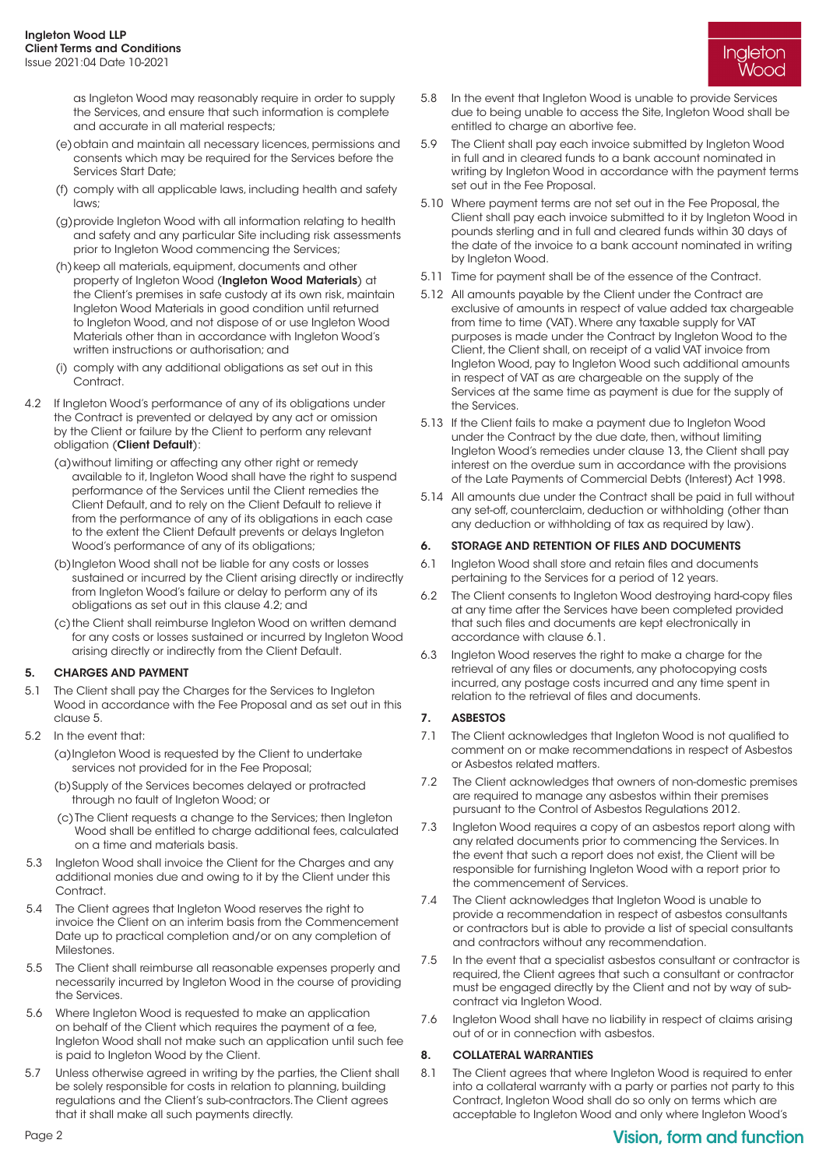as Ingleton Wood may reasonably require in order to supply the Services, and ensure that such information is complete and accurate in all material respects;

- (e) obtain and maintain all necessary licences, permissions and consents which may be required for the Services before the Services Start Date;
- (f) comply with all applicable laws, including health and safety laws;
- (g) provide Ingleton Wood with all information relating to health and safety and any particular Site including risk assessments prior to Ingleton Wood commencing the Services;
- (h) keep all materials, equipment, documents and other property of Ingleton Wood (Ingleton Wood Materials) at the Client's premises in safe custody at its own risk, maintain Ingleton Wood Materials in good condition until returned to Ingleton Wood, and not dispose of or use Ingleton Wood Materials other than in accordance with Ingleton Wood's written instructions or authorisation; and
- (i) comply with any additional obligations as set out in this Contract.
- 4.2 If Ingleton Wood's performance of any of its obligations under the Contract is prevented or delayed by any act or omission by the Client or failure by the Client to perform any relevant obligation (Client Default):
	- (a) without limiting or affecting any other right or remedy available to it, Ingleton Wood shall have the right to suspend performance of the Services until the Client remedies the Client Default, and to rely on the Client Default to relieve it from the performance of any of its obligations in each case to the extent the Client Default prevents or delays Ingleton Wood's performance of any of its obligations;
	- (b) Ingleton Wood shall not be liable for any costs or losses sustained or incurred by the Client arising directly or indirectly from Ingleton Wood's failure or delay to perform any of its obligations as set out in this clause 4.2; and
	- (c) the Client shall reimburse Ingleton Wood on written demand for any costs or losses sustained or incurred by Ingleton Wood arising directly or indirectly from the Client Default.

# 5. CHARGES AND PAYMENT

- 5.1 The Client shall pay the Charges for the Services to Ingleton Wood in accordance with the Fee Proposal and as set out in this clause 5.
- 5.2 In the event that:
	- (a) Ingleton Wood is requested by the Client to undertake services not provided for in the Fee Proposal;
	- (b) Supply of the Services becomes delayed or protracted through no fault of Ingleton Wood; or
	- (c) The Client requests a change to the Services; then Ingleton Wood shall be entitled to charge additional fees, calculated on a time and materials basis.
- 5.3 Ingleton Wood shall invoice the Client for the Charges and any additional monies due and owing to it by the Client under this Contract.
- 5.4 The Client agrees that Ingleton Wood reserves the right to invoice the Client on an interim basis from the Commencement Date up to practical completion and/or on any completion of **Milestones**
- 5.5 The Client shall reimburse all reasonable expenses properly and necessarily incurred by Ingleton Wood in the course of providing the Services.
- 5.6 Where Ingleton Wood is requested to make an application on behalf of the Client which requires the payment of a fee, Ingleton Wood shall not make such an application until such fee is paid to Ingleton Wood by the Client.
- 5.7 Unless otherwise agreed in writing by the parties, the Client shall be solely responsible for costs in relation to planning, building regulations and the Client's sub-contractors. The Client agrees that it shall make all such payments directly.

5.8 In the event that Ingleton Wood is unable to provide Services due to being unable to access the Site, Ingleton Wood shall be entitled to charge an abortive fee.

Ingleton Wooc

- 5.9 The Client shall pay each invoice submitted by Ingleton Wood in full and in cleared funds to a bank account nominated in writing by Ingleton Wood in accordance with the payment terms set out in the Fee Proposal.
- 5.10 Where payment terms are not set out in the Fee Proposal, the Client shall pay each invoice submitted to it by Ingleton Wood in pounds sterling and in full and cleared funds within 30 days of the date of the invoice to a bank account nominated in writing by Ingleton Wood.
- 5.11 Time for payment shall be of the essence of the Contract.
- 5.12 All amounts payable by the Client under the Contract are exclusive of amounts in respect of value added tax chargeable from time to time (VAT). Where any taxable supply for VAT purposes is made under the Contract by Ingleton Wood to the Client, the Client shall, on receipt of a valid VAT invoice from Ingleton Wood, pay to Ingleton Wood such additional amounts in respect of VAT as are chargeable on the supply of the Services at the same time as payment is due for the supply of the Services.
- 5.13 If the Client fails to make a payment due to Ingleton Wood under the Contract by the due date, then, without limiting Ingleton Wood's remedies under clause 13, the Client shall pay interest on the overdue sum in accordance with the provisions of the Late Payments of Commercial Debts (Interest) Act 1998.
- 5.14 All amounts due under the Contract shall be paid in full without any set-off, counterclaim, deduction or withholding (other than any deduction or withholding of tax as required by law).

### 6. STORAGE AND RETENTION OF FILES AND DOCUMENTS

- 6.1 Ingleton Wood shall store and retain files and documents pertaining to the Services for a period of 12 years.
- 6.2 The Client consents to Ingleton Wood destroying hard-copy files at any time after the Services have been completed provided that such files and documents are kept electronically in accordance with clause 6.1.
- 6.3 Ingleton Wood reserves the right to make a charge for the retrieval of any files or documents, any photocopying costs incurred, any postage costs incurred and any time spent in relation to the retrieval of files and documents.

# 7. ASBESTOS

- 7.1 The Client acknowledges that Ingleton Wood is not qualified to comment on or make recommendations in respect of Asbestos or Asbestos related matters.
- 7.2 The Client acknowledges that owners of non-domestic premises are required to manage any asbestos within their premises pursuant to the Control of Asbestos Regulations 2012.
- 7.3 Ingleton Wood requires a copy of an asbestos report along with any related documents prior to commencing the Services. In the event that such a report does not exist, the Client will be responsible for furnishing Ingleton Wood with a report prior to the commencement of Services.
- 7.4 The Client acknowledges that Ingleton Wood is unable to provide a recommendation in respect of asbestos consultants or contractors but is able to provide a list of special consultants and contractors without any recommendation.
- 7.5 In the event that a specialist asbestos consultant or contractor is required, the Client agrees that such a consultant or contractor must be engaged directly by the Client and not by way of subcontract via Ingleton Wood.
- 7.6 Ingleton Wood shall have no liability in respect of claims arising out of or in connection with asbestos.

#### 8. COLLATERAL WARRANTIES

8.1 The Client agrees that where Ingleton Wood is required to enter into a collateral warranty with a party or parties not party to this Contract, Ingleton Wood shall do so only on terms which are acceptable to Ingleton Wood and only where Ingleton Wood's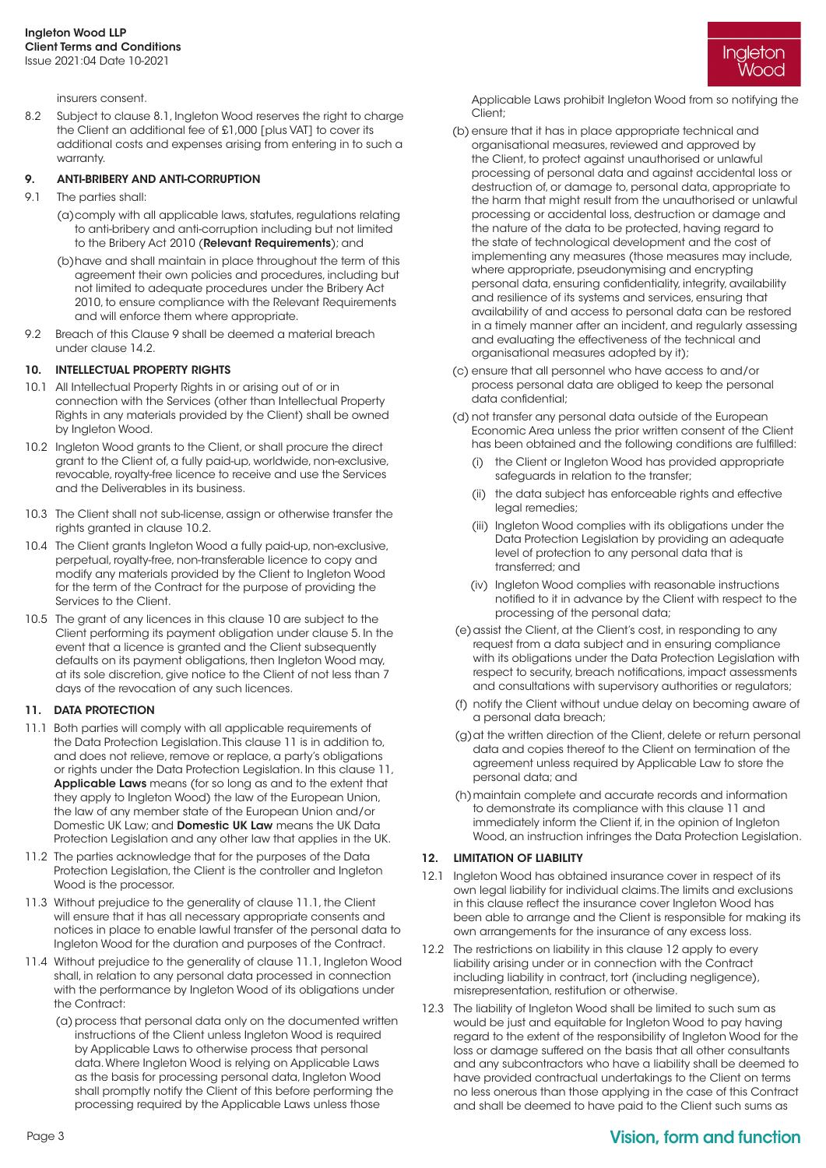insurers consent.

8.2 Subject to clause 8.1, Ingleton Wood reserves the right to charge the Client an additional fee of £1,000 [plus VAT] to cover its additional costs and expenses arising from entering in to such a warranty.

### 9. ANTI-BRIBERY AND ANTI-CORRUPTION

- 9.1 The parties shall:
	- (a) comply with all applicable laws, statutes, regulations relating to anti-bribery and anti-corruption including but not limited to the Bribery Act 2010 (Relevant Requirements); and
	- (b) have and shall maintain in place throughout the term of this agreement their own policies and procedures, including but not limited to adequate procedures under the Bribery Act 2010, to ensure compliance with the Relevant Requirements and will enforce them where appropriate.
- 9.2 Breach of this Clause 9 shall be deemed a material breach under clause 14.2.

# 10. INTELLECTUAL PROPERTY RIGHTS

- 10.1 All Intellectual Property Rights in or arising out of or in connection with the Services (other than Intellectual Property Rights in any materials provided by the Client) shall be owned by Ingleton Wood.
- 10.2 Ingleton Wood grants to the Client, or shall procure the direct grant to the Client of, a fully paid-up, worldwide, non-exclusive, revocable, royalty-free licence to receive and use the Services and the Deliverables in its business.
- 10.3 The Client shall not sub-license, assign or otherwise transfer the rights granted in clause 10.2.
- 10.4 The Client grants Ingleton Wood a fully paid-up, non-exclusive, perpetual, royalty-free, non-transferable licence to copy and modify any materials provided by the Client to Ingleton Wood for the term of the Contract for the purpose of providing the Services to the Client.
- 10.5 The grant of any licences in this clause 10 are subject to the Client performing its payment obligation under clause 5. In the event that a licence is granted and the Client subsequently defaults on its payment obligations, then Ingleton Wood may, at its sole discretion, give notice to the Client of not less than 7 days of the revocation of any such licences.

#### 11. DATA PROTECTION

- 11.1 Both parties will comply with all applicable requirements of the Data Protection Legislation. This clause 11 is in addition to, and does not relieve, remove or replace, a party's obligations or rights under the Data Protection Legislation. In this clause 11, Applicable Laws means (for so long as and to the extent that they apply to Ingleton Wood) the law of the European Union, the law of any member state of the European Union and/or Domestic UK Law; and Domestic UK Law means the UK Data Protection Legislation and any other law that applies in the UK.
- 11.2 The parties acknowledge that for the purposes of the Data Protection Legislation, the Client is the controller and Ingleton Wood is the processor.
- 11.3 Without prejudice to the generality of clause 11.1, the Client will ensure that it has all necessary appropriate consents and notices in place to enable lawful transfer of the personal data to Ingleton Wood for the duration and purposes of the Contract.
- 11.4 Without prejudice to the generality of clause 11.1, Ingleton Wood shall, in relation to any personal data processed in connection with the performance by Ingleton Wood of its obligations under the Contract:
	- (a) process that personal data only on the documented written instructions of the Client unless Ingleton Wood is required by Applicable Laws to otherwise process that personal data. Where Ingleton Wood is relying on Applicable Laws as the basis for processing personal data, Ingleton Wood shall promptly notify the Client of this before performing the processing required by the Applicable Laws unless those

Ingleton Wooc

Applicable Laws prohibit Ingleton Wood from so notifying the Client;

- (b) ensure that it has in place appropriate technical and organisational measures, reviewed and approved by the Client, to protect against unauthorised or unlawful processing of personal data and against accidental loss or destruction of, or damage to, personal data, appropriate to the harm that might result from the unauthorised or unlawful processing or accidental loss, destruction or damage and the nature of the data to be protected, having regard to the state of technological development and the cost of implementing any measures (those measures may include, where appropriate, pseudonymising and encrypting personal data, ensuring confidentiality, integrity, availability and resilience of its systems and services, ensuring that availability of and access to personal data can be restored in a timely manner after an incident, and regularly assessing and evaluating the effectiveness of the technical and organisational measures adopted by it);
- (c) ensure that all personnel who have access to and/or process personal data are obliged to keep the personal data confidential;
- (d) not transfer any personal data outside of the European Economic Area unless the prior written consent of the Client has been obtained and the following conditions are fulfilled:
	- (i) the Client or Ingleton Wood has provided appropriate safeguards in relation to the transfer;
	- (ii) the data subject has enforceable rights and effective legal remedies;
	- (iii) Ingleton Wood complies with its obligations under the Data Protection Legislation by providing an adequate level of protection to any personal data that is transferred; and
	- (iv) Ingleton Wood complies with reasonable instructions notified to it in advance by the Client with respect to the processing of the personal data;
- (e) assist the Client, at the Client's cost, in responding to any request from a data subject and in ensuring compliance with its obligations under the Data Protection Legislation with respect to security, breach notifications, impact assessments and consultations with supervisory authorities or regulators;
- (f) notify the Client without undue delay on becoming aware of a personal data breach;
- (g) at the written direction of the Client, delete or return personal data and copies thereof to the Client on termination of the agreement unless required by Applicable Law to store the personal data; and
- (h) maintain complete and accurate records and information to demonstrate its compliance with this clause 11 and immediately inform the Client if, in the opinion of Ingleton Wood, an instruction infringes the Data Protection Legislation.

#### 12. LIMITATION OF LIABILITY

- 12.1 Ingleton Wood has obtained insurance cover in respect of its own legal liability for individual claims. The limits and exclusions in this clause reflect the insurance cover Ingleton Wood has been able to arrange and the Client is responsible for making its own arrangements for the insurance of any excess loss.
- 12.2 The restrictions on liability in this clause 12 apply to every liability arising under or in connection with the Contract including liability in contract, tort (including negligence), misrepresentation, restitution or otherwise.
- 12.3 The liability of Ingleton Wood shall be limited to such sum as would be just and equitable for Ingleton Wood to pay having regard to the extent of the responsibility of Ingleton Wood for the loss or damage suffered on the basis that all other consultants and any subcontractors who have a liability shall be deemed to have provided contractual undertakings to the Client on terms no less onerous than those applying in the case of this Contract and shall be deemed to have paid to the Client such sums as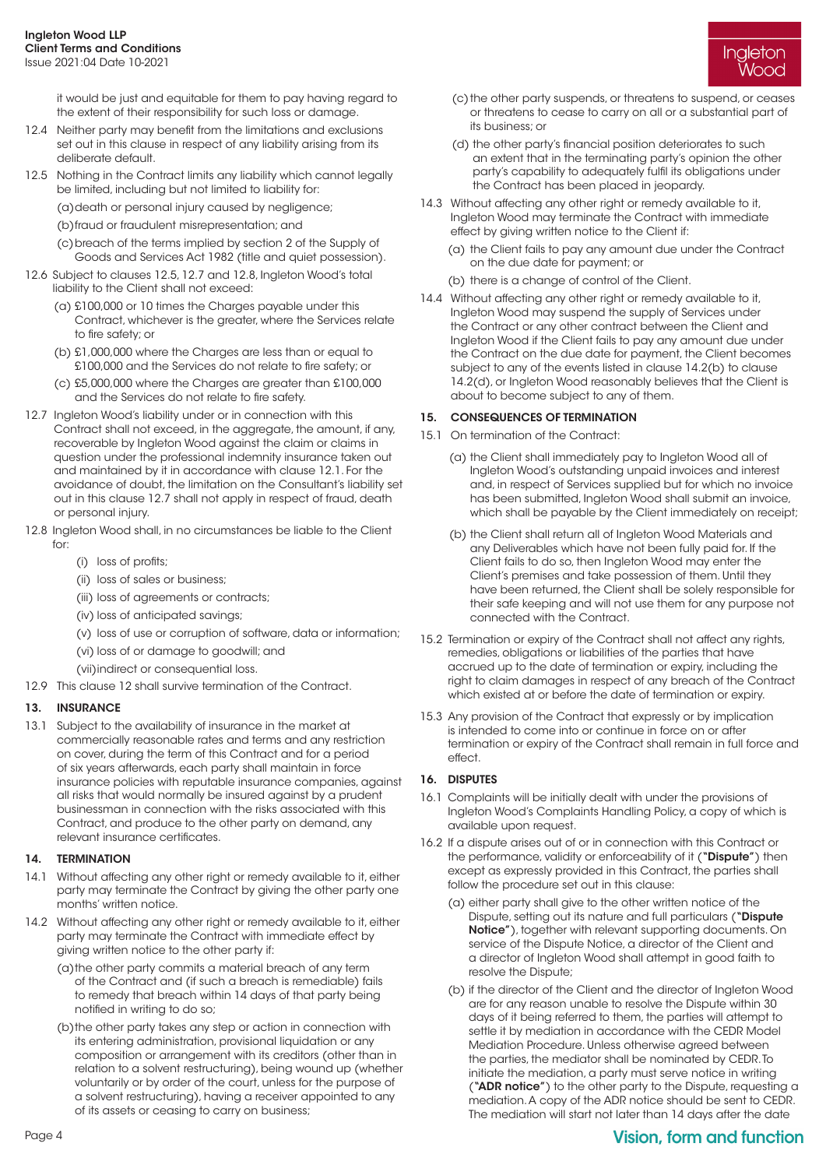it would be just and equitable for them to pay having regard to the extent of their responsibility for such loss or damage.

- 12.4 Neither party may benefit from the limitations and exclusions set out in this clause in respect of any liability arising from its deliberate default.
- 12.5 Nothing in the Contract limits any liability which cannot legally be limited, including but not limited to liability for:
	- (a)death or personal injury caused by negligence;
	- (b)fraud or fraudulent misrepresentation; and
	- (c) breach of the terms implied by section 2 of the Supply of Goods and Services Act 1982 (title and quiet possession).
- 12.6 Subject to clauses 12.5, 12.7 and 12.8, Ingleton Wood's total liability to the Client shall not exceed:
	- (a) £100,000 or 10 times the Charges payable under this Contract, whichever is the greater, where the Services relate to fire safety; or
	- (b) £1,000,000 where the Charges are less than or equal to £100,000 and the Services do not relate to fire safety; or
	- (c) £5,000,000 where the Charges are greater than £100,000 and the Services do not relate to fire safety.
- 12.7 Ingleton Wood's liability under or in connection with this Contract shall not exceed, in the aggregate, the amount, if any, recoverable by Ingleton Wood against the claim or claims in question under the professional indemnity insurance taken out and maintained by it in accordance with clause 12.1. For the avoidance of doubt, the limitation on the Consultant's liability set out in this clause 12.7 shall not apply in respect of fraud, death or personal injury.
- 12.8 Ingleton Wood shall, in no circumstances be liable to the Client for:
	- (i) loss of profits;
	- (ii) loss of sales or business;
	- (iii) loss of agreements or contracts;
	- (iv) loss of anticipated savings;
	- (v) loss of use or corruption of software, data or information;
	- (vi) loss of or damage to goodwill; and
	- (vii)indirect or consequential loss.
- 12.9 This clause 12 shall survive termination of the Contract.

# 13. INSURANCE

13.1 Subject to the availability of insurance in the market at commercially reasonable rates and terms and any restriction on cover, during the term of this Contract and for a period of six years afterwards, each party shall maintain in force insurance policies with reputable insurance companies, against all risks that would normally be insured against by a prudent businessman in connection with the risks associated with this Contract, and produce to the other party on demand, any relevant insurance certificates.

# 14. TERMINATION

- 14.1 Without affecting any other right or remedy available to it, either party may terminate the Contract by giving the other party one months' written notice.
- 14.2 Without affecting any other right or remedy available to it, either party may terminate the Contract with immediate effect by giving written notice to the other party if:
	- (a) the other party commits a material breach of any term of the Contract and (if such a breach is remediable) fails to remedy that breach within 14 days of that party being notified in writing to do so;
	- (b) the other party takes any step or action in connection with its entering administration, provisional liquidation or any composition or arrangement with its creditors (other than in relation to a solvent restructuring), being wound up (whether voluntarily or by order of the court, unless for the purpose of a solvent restructuring), having a receiver appointed to any of its assets or ceasing to carry on business;



- (c) the other party suspends, or threatens to suspend, or ceases or threatens to cease to carry on all or a substantial part of its business; or
- (d) the other party's financial position deteriorates to such an extent that in the terminating party's opinion the other party's capability to adequately fulfil its obligations under the Contract has been placed in jeopardy.
- 14.3 Without affecting any other right or remedy available to it, Ingleton Wood may terminate the Contract with immediate effect by giving written notice to the Client if:
	- (a) the Client fails to pay any amount due under the Contract on the due date for payment; or
	- (b) there is a change of control of the Client.
- 14.4 Without affecting any other right or remedy available to it, Ingleton Wood may suspend the supply of Services under the Contract or any other contract between the Client and Ingleton Wood if the Client fails to pay any amount due under the Contract on the due date for payment, the Client becomes subject to any of the events listed in clause 14.2(b) to clause 14.2(d), or Ingleton Wood reasonably believes that the Client is about to become subject to any of them.

### 15. CONSEQUENCES OF TERMINATION

- 15.1 On termination of the Contract:
	- (a) the Client shall immediately pay to Ingleton Wood all of Ingleton Wood's outstanding unpaid invoices and interest and, in respect of Services supplied but for which no invoice has been submitted, Ingleton Wood shall submit an invoice, which shall be payable by the Client immediately on receipt;
	- (b) the Client shall return all of Ingleton Wood Materials and any Deliverables which have not been fully paid for. If the Client fails to do so, then Ingleton Wood may enter the Client's premises and take possession of them. Until they have been returned, the Client shall be solely responsible for their safe keeping and will not use them for any purpose not connected with the Contract.
- 15.2 Termination or expiry of the Contract shall not affect any rights, remedies, obligations or liabilities of the parties that have accrued up to the date of termination or expiry, including the right to claim damages in respect of any breach of the Contract which existed at or before the date of termination or expiry.
- 15.3 Any provision of the Contract that expressly or by implication is intended to come into or continue in force on or after termination or expiry of the Contract shall remain in full force and effect.

# 16. DISPUTES

- 16.1 Complaints will be initially dealt with under the provisions of Ingleton Wood's Complaints Handling Policy, a copy of which is available upon request.
- 16.2 If a dispute arises out of or in connection with this Contract or the performance, validity or enforceability of it ("Dispute") then except as expressly provided in this Contract, the parties shall follow the procedure set out in this clause:
	- (a) either party shall give to the other written notice of the Dispute, setting out its nature and full particulars ("Dispute Notice"), together with relevant supporting documents. On service of the Dispute Notice, a director of the Client and a director of Ingleton Wood shall attempt in good faith to resolve the Dispute;
	- (b) if the director of the Client and the director of Ingleton Wood are for any reason unable to resolve the Dispute within 30 days of it being referred to them, the parties will attempt to settle it by mediation in accordance with the CEDR Model Mediation Procedure. Unless otherwise agreed between the parties, the mediator shall be nominated by CEDR. To initiate the mediation, a party must serve notice in writing ("ADR notice") to the other party to the Dispute, requesting a mediation. A copy of the ADR notice should be sent to CEDR. The mediation will start not later than 14 days after the date